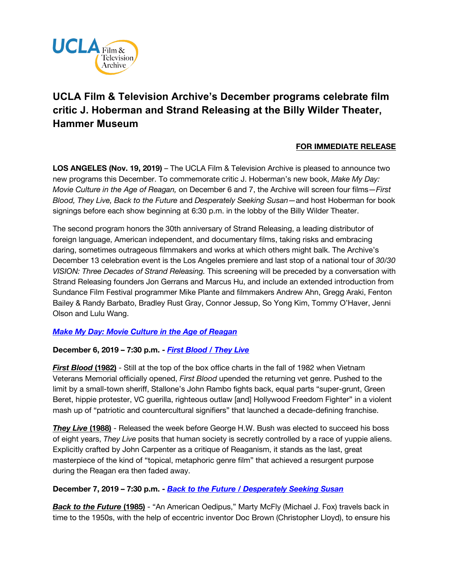

# **UCLA Film & Television Archive's December programs celebrate film critic J. Hoberman and Strand Releasing at the Billy Wilder Theater, Hammer Museum**

## **FOR IMMEDIATE RELEASE**

**LOS ANGELES (Nov. 19, 2019)** – The UCLA Film & Television Archive is pleased to announce two new programs this December. To commemorate critic J. Hoberman's new book, *Make My Day: Movie Culture in the Age of Reagan,* on December 6 and 7, the Archive will screen four films—*First Blood, They Live, Back to the Future* and *Desperately Seeking Susan*—and host Hoberman for book signings before each show beginning at 6:30 p.m. in the lobby of the Billy Wilder Theater.

The second program honors the 30th anniversary of Strand Releasing, a leading distributor of foreign language, American independent, and documentary films, taking risks and embracing daring, sometimes outrageous filmmakers and works at which others might balk. The Archive's December 13 celebration event is the Los Angeles premiere and last stop of a national tour of *30/30 VISION: Three Decades of Strand Releasing.* This screening will be preceded by a conversation with Strand Releasing founders Jon Gerrans and Marcus Hu, and include an extended introduction from Sundance Film Festival programmer Mike Plante and filmmakers Andrew Ahn, Gregg Araki, Fenton Bailey & Randy Barbato, Bradley Rust Gray, Connor Jessup, So Yong Kim, Tommy O'Haver, Jenni Olson and Lulu Wang.

#### *[Make My Day: Movie Culture in the Age of Reagan](https://www.cinema.ucla.edu/events/2019/make-my-day-movie-culture-age-of-reagan)*

#### **December 6, 2019 – 7:30 p.m. -** *[First Blood / They Live](https://www.cinema.ucla.edu/events/2019/12/6/first-blood-they-live)*

*First Blood* **(1982)** - Still at the top of the box office charts in the fall of 1982 when Vietnam Veterans Memorial officially opened, *First Blood* upended the returning vet genre. Pushed to the limit by a small-town sheriff, Stallone's John Rambo fights back, equal parts "super-grunt, Green Beret, hippie protester, VC guerilla, righteous outlaw [and] Hollywood Freedom Fighter" in a violent mash up of "patriotic and countercultural signifiers" that launched a decade-defining franchise.

*They Live* **(1988)** - Released the week before George H.W. Bush was elected to succeed his boss of eight years, *They Live* posits that human society is secretly controlled by a race of yuppie aliens. Explicitly crafted by John Carpenter as a critique of Reaganism, it stands as the last, great masterpiece of the kind of "topical, metaphoric genre film" that achieved a resurgent purpose during the Reagan era then faded away.

#### **December 7, 2019 – 7:30 p.m. -** *[Back to the Future / Desperately Seeking Susan](https://www.cinema.ucla.edu/events/2019/12/7/back-to-the-future-desperately-seeking-susan)*

*Back to the Future* **(1985)** - "An American Oedipus," Marty McFly (Michael J. Fox) travels back in time to the 1950s, with the help of eccentric inventor Doc Brown (Christopher Lloyd), to ensure his